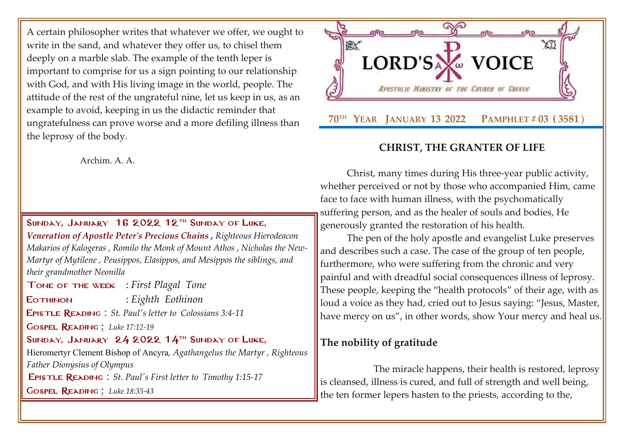A certain philosopher writes that whatever we offer, we ought to write in the sand, and whatever they offer us, to chisel them deeply on a marble slab. The example of the tenth leper is important to comprise for us a sign pointing to our relationship with God, and with His living image in the world, people. The attitude of the rest of the ungrateful nine, let us keep in us, as an example to avoid, keeping in us the didactic reminder that ungratefulness can prove worse and a more defiling illness than the leprosy of the body.

Archim. A. A.

SUNDAY, JANUARY 16 2022  $12$ <sup>TH</sup> SUNDAY OF LUKE, *[Veneration of Apostle Peter's Precious Chains](http://www.goarch.org/chapel/saints?contentid=388) , Righteous Hierodeacon Makarios of Kalogeras , Romilo the Monk of Mount Athos , Nicholas the New-Martyr of Mytilene , Peusippos, Elasippos, and Mesippos the siblings, and their grandmother Neonilla*

Tone of the week : *First Plagal Tone*

Eothinon : *Eighth Eothinon*

Epistle Reading : *[St. Paul's letter to](http://www.goarch.org/chapel/lectionary?type=E&code=110&event=291&date=11/14/2021) [Colossians 3:4-11](http://www.goarch.org/chapel/lectionary?type=E&code=110&event=291&date=11/14/2021)*

Gospel Reading [:](http://www.goarch.org/chapel/lectionary?type=G&code=362&event=218) *[Luke 17:12-19](http://www.goarch.org/chapel/lectionary?type=G&code=245&event=1125)*

SUNDAY, JANUARY 24 2022  $14$ <sup>TH</sup> SUNDAY OF LUKE,

Hieromertyr Clement Bishop of Ancyra*, Agathangelus the Martyr , Righteous Father Dionysius of Olympus* Epistle Reading : *[St. Paul's First letter to](http://www.goarch.org/chapel/lectionary?type=E&code=110&event=291&date=11/14/2021) [Timothy](http://www.goarch.org/chapel/lectionary?type=E&code=110&event=291&date=11/14/2021) 1:15-1[7](http://www.goarch.org/chapel/lectionary?type=E&code=110&event=291&date=11/14/2021)*

Gospel Reading [:](http://www.goarch.org/chapel/lectionary?type=G&code=362&event=218) *[Luke 18:35-43](http://www.goarch.org/chapel/lectionary?type=G&code=245&event=1125)*



## **CHRIST, THE GRANTER OF LIFE**

Christ, many times during His three-year public activity, whether perceived or not by those who accompanied Him, came face to face with human illness, with the psychomatically suffering person, and as the healer of souls and bodies, He generously granted the restoration of his health.

The pen of the holy apostle and evangelist Luke preserves and describes such a case. The case of the group of ten people, furthermore, who were suffering from the chronic and very painful and with dreadful social consequences illness of leprosy. These people, keeping the "health protocols" of their age, with as loud a voice as they had, cried out to Jesus saying: "Jesus, Master, have mercy on us", in other words, show Your mercy and heal us.

## **The nobility of gratitude**

The miracle happens, their health is restored, leprosy is cleansed, illness is cured, and full of strength and well being, the ten former lepers hasten to the priests, according to the,